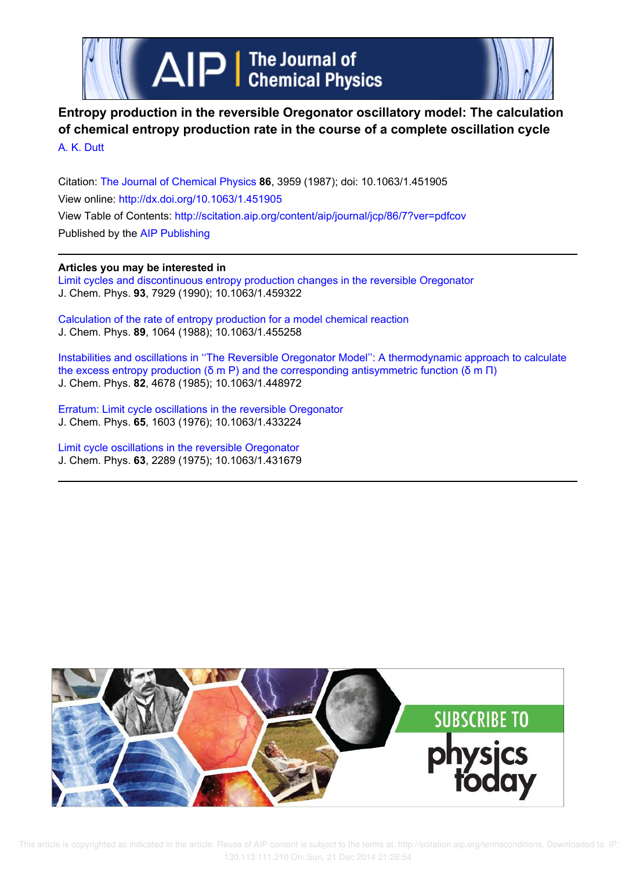



# **Entropy production in the reversible Oregonator oscillatory model: The calculation of chemical entropy production rate in the course of a complete oscillation cycle** A. K. Dutt

Citation: The Journal of Chemical Physics **86**, 3959 (1987); doi: 10.1063/1.451905 View online: http://dx.doi.org/10.1063/1.451905 View Table of Contents: http://scitation.aip.org/content/aip/journal/jcp/86/7?ver=pdfcov Published by the AIP Publishing

## **Articles you may be interested in**

Limit cycles and discontinuous entropy production changes in the reversible Oregonator J. Chem. Phys. **93**, 7929 (1990); 10.1063/1.459322

Calculation of the rate of entropy production for a model chemical reaction J. Chem. Phys. **89**, 1064 (1988); 10.1063/1.455258

Instabilities and oscillations in ''The Reversible Oregonator Model'': A thermodynamic approach to calculate the excess entropy production (δ m P) and the corresponding antisymmetric function (δ m  $\Pi$ ) J. Chem. Phys. **82**, 4678 (1985); 10.1063/1.448972

Erratum: Limit cycle oscillations in the reversible Oregonator J. Chem. Phys. **65**, 1603 (1976); 10.1063/1.433224

Limit cycle oscillations in the reversible Oregonator J. Chem. Phys. **63**, 2289 (1975); 10.1063/1.431679



 This article is copyrighted as indicated in the article. Reuse of AIP content is subject to the terms at: http://scitation.aip.org/termsconditions. Downloaded to IP: 130.113.111.210 On: Sun, 21 Dec 2014 21:26:54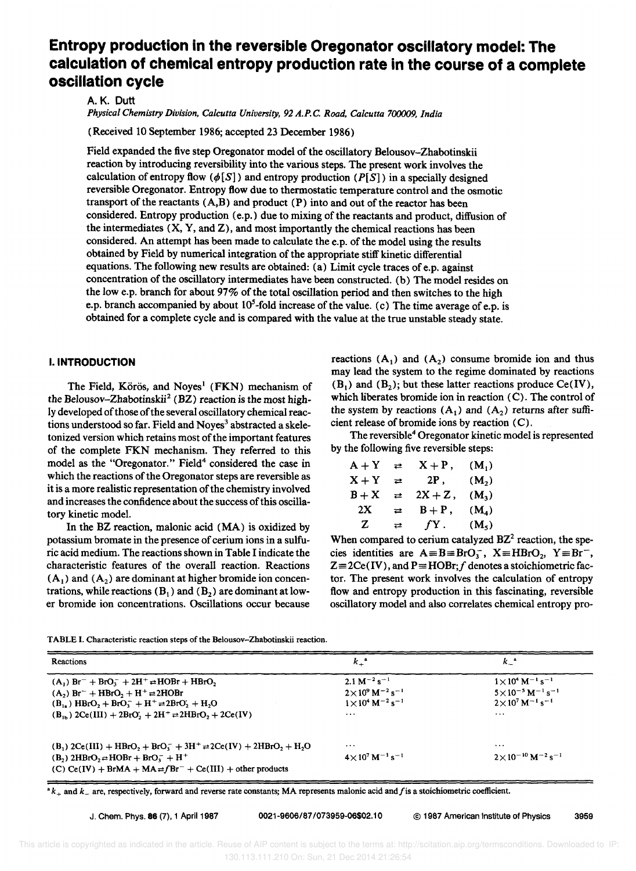# **Entropy production in the reversible Oregonator oscillatory model: The calculation of chemical entropy production rate in the course of a complete oscillation cycle**

A. K. Dutt

*Physical Chemistry Division, Calcutta University,* 92 *A.P.* C *Road, Calcutta* 7()(}()()9, *India* 

(Received 10 September 1986; accepted 23 December 1986)

Field expanded the five step Oregonator model of the oscillatory Belousov-Zhabotinskii reaction by introducing reversibility into the various steps. The present work involves the calculation of entropy flow  $(\phi[S])$  and entropy production  $(P[S])$  in a specially designed reversible Oregonator. Entropy flow due to thermostatic temperature control and the osmotic transport of the reactants  $(A,B)$  and product  $(P)$  into and out of the reactor has been considered. Entropy production (e.p.) due to mixing of the reactants and product, diffusion of the intermediates  $(X, Y, and Z)$ , and most importantly the chemical reactions has been considered. An attempt has been made to calculate the e.p. of the model using the results obtained by Field by numerical integration of the appropriate stiff kinetic differential equations. The following new results are obtained: (a) Limit cycle traces of e.p. against concentration of the oscillatory intermediates have been constructed. (b) The model resides on the low e.p. branch for about 97% of the total oscillation period and then switches to the high e.p. branch accompanied by about  $10^5$ -fold increase of the value. (c) The time average of e.p. is obtained for a complete cycle and is compared with the value at the true unstable steady state.

## I. **INTRODUCTION**

The Field, Körös, and Noves<sup>1</sup> (FKN) mechanism of the Belousov-Zhabotinskii<sup>2</sup> (BZ) reaction is the most highly developed of those of the several oscillatory chemical reactions understood so far. Field and Noves<sup>3</sup> abstracted a skeletonized version which retains most of the important features of the complete FKN mechanism. They referred to this model as the "Oregonator." Field<sup>4</sup> considered the case in which the reactions of the Oregonator steps are reversible as it is a more realistic representation of the chemistry involved and increases the confidence about the success of this oscillatory kinetic model.

In the BZ reaction, malonic acid (MA) is oxidized by potassium bromate in the presence of cerium ions in a sulfuric acid medium. The reactions shown in Table I indicate the characteristic features of the overall reaction. Reactions  $(A_1)$  and  $(A_2)$  are dominant at higher bromide ion concentrations, while reactions  $(B_1)$  and  $(B_2)$  are dominant at lower bromide ion concentrations. Oscillations occur because

reactions  $(A_1)$  and  $(A_2)$  consume bromide ion and thus may lead the system to the regime dominated by reactions  $(B_1)$  and  $(B_2)$ ; but these latter reactions produce Ce(IV), which liberates bromide ion in reaction (C). The control of the system by reactions  $(A_1)$  and  $(A_2)$  returns after sufficient release of bromide ions by reaction (C).

The reversible<sup>4</sup> Oregonator kinetic model is represented by the following five reversible steps:

| $A + Y$ | ⇄              | $X + P$ ,                 | $(M_1)$           |
|---------|----------------|---------------------------|-------------------|
| $X + Y$ | ⇄              | 2P.                       | (M <sub>2</sub> ) |
| $B+X$   | ⇄              | $2X + Z$ ,                | $(M_2)$           |
| 2X      | ⇄              | $\texttt{B}+\texttt{P}$ , | $(M_4)$           |
| Z       | $\overline{a}$ | $fY$ .                    | (M <sub>5</sub> ) |

When compared to cerium catalyzed  $BZ<sup>2</sup>$  reaction, the species identities are  $A = B = BrO_3^-$ ,  $X = HBrO_2$ ,  $Y = Br^-$ ,  $Z = 2Ce(IV)$ , and  $P = HOBr; f$  denotes a stoichiometric factor. The present work involves the calculation of entropy flow and entropy production in this fascinating, reversible oscillatory model and also correlates chemical entropy pro-

|  | TABLE I. Characteristic reaction steps of the Belousov-Zhabotinskii reaction. |
|--|-------------------------------------------------------------------------------|
|--|-------------------------------------------------------------------------------|

| <b>Reactions</b>                                                                                                        | $k_+$ <sup>a</sup>                              | $k_{-}$                                             |
|-------------------------------------------------------------------------------------------------------------------------|-------------------------------------------------|-----------------------------------------------------|
| $(A_1)$ Br <sup>-</sup> + BrO <sub>3</sub> <sup>-</sup> + 2H <sup>+</sup> $\rightleftharpoons$ HOBr + HBrO <sub>2</sub> | $2.1 M^{-2} s^{-1}$                             | $1 \times 10^4$ M <sup>-1</sup> s <sup>-1</sup>     |
| $(A_2)$ Br <sup>-</sup> + HBrO <sub>2</sub> + H <sup>+</sup> $\rightleftharpoons$ 2HOBr                                 | $2 \times 10^9$ M <sup>-2</sup> s <sup>-1</sup> | $5 \times 10^{-5}$ M <sup>-1</sup> s <sup>-1</sup>  |
| $(B_{1})$ HBrO, + BrO, + H <sup>+</sup> = 2BrO, + H <sub>2</sub> O                                                      | $1 \times 10^4$ M <sup>-2</sup> s <sup>-1</sup> | $2 \times 10^7$ M <sup>-1</sup> s <sup>-1</sup>     |
| $(B_{1h})$ 2Ce(III) + 2BrO, + 2H <sup>+</sup> $\rightleftharpoons$ 2HBrO, + 2Ce(IV)                                     | $\cdots$                                        | $\cdots$                                            |
|                                                                                                                         |                                                 |                                                     |
| $(B_1) 2Ce(III) + HBrO2 + BrO3- + 3H+ \rightleftharpoons 2Ce(IV) + 2HBrO2 + H2O$                                        | $\cdots$                                        | $\cdots$                                            |
| $(B_2)$ 2HBrO <sub>2</sub> $\rightleftharpoons$ HOBr + BrO <sub>3</sub> <sup>-</sup> + H <sup>+</sup>                   | $4 \times 10^7$ M <sup>-1</sup> s <sup>-1</sup> | $2 \times 10^{-10}$ M <sup>-2</sup> s <sup>-1</sup> |
| (C) $Ce(IV) + BrMA + MA \neq fBr^{-} + Ce(III) + other products$                                                        |                                                 |                                                     |

<sup>a</sup>*k+* and *k\_* are, respectively, forward and reverse rate constants; MA represents malonic acid *andfis* a stoichiometric coefficient.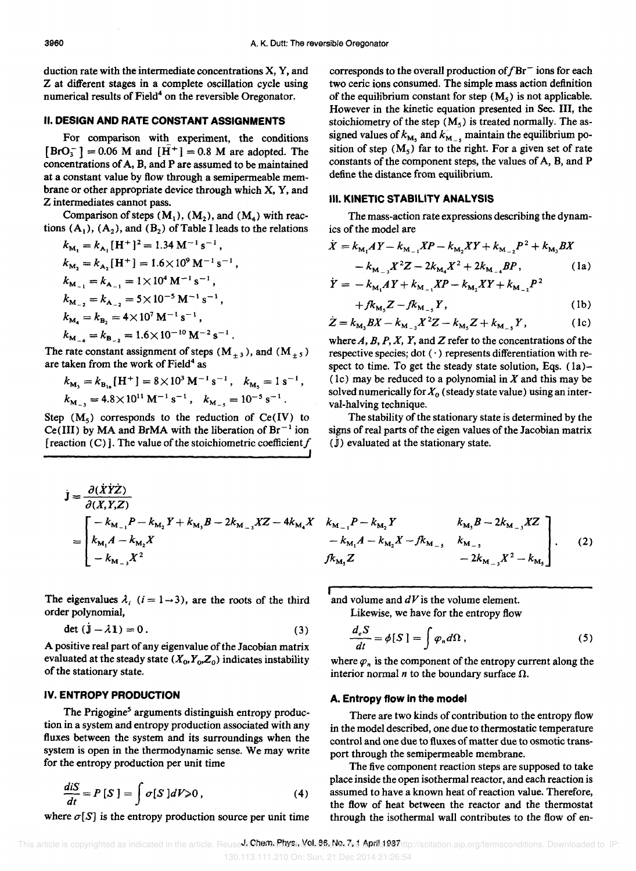duction rate with the intermediate concentrations X, Y, and Z at different stages in a complete oscillation cycle using numerical results of Field<sup>4</sup> on the reversible Oregonator.

### II. DESIGN AND RATE CONSTANT ASSIGNMENTS

For comparison with experiment, the conditions  $[BrO_3^-] = 0.06$  M and  $[H^+] = 0.8$  M are adopted. The concentrations of A, B, and P are assumed to be maintained at a constant value by flow through a semipermeable membrane or other appropriate device through which X, Y, and Z intermediates cannot pass.

Comparison of steps  $(M_1)$ ,  $(M_2)$ , and  $(M_4)$  with reactions  $(A_1)$ ,  $(A_2)$ , and  $(B_2)$  of Table I leads to the relations

$$
k_{\mathbf{M}_1} = k_{\mathbf{A}_1} [\mathbf{H}^+]^2 = 1.34 \mathbf{M}^{-1} \mathbf{s}^{-1},
$$
  
\n
$$
k_{\mathbf{M}_2} = k_{\mathbf{A}_2} [\mathbf{H}^+] = 1.6 \times 10^9 \mathbf{M}^{-1} \mathbf{s}^{-1},
$$
  
\n
$$
k_{\mathbf{M}_{-1}} = k_{\mathbf{A}_{-1}} = 1 \times 10^4 \mathbf{M}^{-1} \mathbf{s}^{-1},
$$
  
\n
$$
k_{\mathbf{M}_{-2}} = k_{\mathbf{A}_{-2}} = 5 \times 10^{-5} \mathbf{M}^{-1} \mathbf{s}^{-1},
$$
  
\n
$$
k_{\mathbf{M}_4} = k_{\mathbf{B}_2} = 4 \times 10^7 \mathbf{M}^{-1} \mathbf{s}^{-1},
$$
  
\n
$$
k_{\mathbf{M}_{-4}} = k_{\mathbf{B}_{-2}} = 1.6 \times 10^{-10} \mathbf{M}^{-2} \mathbf{s}^{-1}.
$$

The rate constant assignment of steps ( $M_{\pm 3}$ ), and ( $M_{\pm 5}$ ) are taken from the work of Field<sup>4</sup> as

$$
k_{\text{M}_3} = k_{\text{B}_{1a}} [\text{H}^+] = 8 \times 10^3 \text{ M}^{-1} \text{ s}^{-1}, k_{\text{M}_5} = 1 \text{ s}^{-1},
$$
  
 $k_{\text{M}_{-3}} = 4.8 \times 10^{11} \text{ M}^{-1} \text{ s}^{-1}, k_{\text{M}_{-5}} = 10^{-5} \text{ s}^{-1}.$ 

Step  $(M_5)$  corresponds to the reduction of  $Ce(IV)$  to Ce(III) by MA and BrMA with the liberation of  $Br^{-1}$  ion [reaction (C)]. The value of the stoichiometric coefficient  $f$ ,<br>յ

$$
\dot{\mathbf{J}} = \frac{\partial (\dot{X} \dot{Y} \dot{Z})}{\partial (X, Y, Z)} \n= \begin{bmatrix}\n-k_{M_{-1}} P - k_{M_2} Y + k_{M_3} B - 2k_{M_{-3}} XZ - 4k_{M_4} X \\
k_{M_1} A - k_{M_2} X \\
-k_{M_{-3}} X^2\n\end{bmatrix}
$$

The eigenvalues  $\lambda_i$  (i = 1 - 3), are the roots of the third order polynomial,

$$
\det\left(\dot{\mathbf{j}} - \lambda \mathbf{1}\right) = 0. \tag{3}
$$

A positive real part of any eigenvalue of the Jacobian matrix evaluated at the steady state  $(X_0, Y_0, Z_0)$  indicates instability of the stationary state.

## IV. ENTROPY PRODUCTION

The Prigogine<sup>5</sup> arguments distinguish entropy production in a system and entropy production associated with any fluxes between the system and its surroundings when the system is open in the thermodynamic sense. We may write for the entropy production per unit time

$$
\frac{diS}{dt} = P[S] = \int \sigma[S]dV \ge 0, \qquad (4)
$$

where  $\sigma[S]$  is the entropy production source per unit time

corresponds to the overall production of  $fBr^-$  ions for each two ceric ions consumed. The simple mass action definition of the equilibrium constant for step  $(M<sub>s</sub>)$  is not applicable. However in the kinetic equation presented in Sec. III, the stoichiometry of the step  $(M_5)$  is treated normally. The assigned values of  $k_{\rm Ms}$  and  $k_{\rm Mss}$  maintain the equilibrium position of step  $(M_5)$  far to the right. For a given set of rate constants of the component steps, the values of A, B, and P define the distance from equilibrium.

#### III. KINETIC STABILITY ANALYSIS

The mass-action rate expressions describing the dynamics of the model are

$$
\dot{X} = k_{\mathrm{M}_1}AY - k_{\mathrm{M}_{-1}}XP - k_{\mathrm{M}_2}XY + k_{\mathrm{M}_{-2}}P^2 + k_{\mathrm{M}_3}BX - k_{\mathrm{M}_{-3}}X^2Z - 2k_{\mathrm{M}_4}X^2 + 2k_{\mathrm{M}_{-4}}BP, \qquad (1a)
$$

$$
\dot{Y} = -k_{M_1}AY + k_{M_{-1}}XP - k_{M_2}XY + k_{M_{-2}}P^2
$$
  
+  $f k_{M_1}Z - f k_{M_{-1}}Y$ , (1b)

$$
\dot{Z} = k_{\rm M_3} B X - k_{\rm M_{-3}} X^2 Z - k_{\rm M_3} Z + k_{\rm M_{-3}} Y, \qquad (1c)
$$

where  $A$ ,  $B$ ,  $P$ ,  $X$ ,  $Y$ , and  $Z$  refer to the concentrations of the respective species; dot  $( \cdot )$  represents differentiation with respect to time. To get the steady state solution, Eqs.  $(1a)$ -(1c) may be reduced to a polynomial in  $X$  and this may be solved numerically for  $X_0$  (steady state value) using an interval-halving technique.

The stability of the stationary state is determined by the signs of real parts of the eigen values of the Jacobian matrix  $(\dot{J})$  evaluated at the stationary state.

$$
\begin{aligned}\nk_{\mathbf{M}_{-1}}P - k_{\mathbf{M}_{2}}Y & k_{\mathbf{M}_{3}}B - 2k_{\mathbf{M}_{-3}}XZ \\
&- k_{\mathbf{M}_{1}}A - k_{\mathbf{M}_{2}}X - f k_{\mathbf{M}_{-5}} & k_{\mathbf{M}_{-5}} \\
&- 2k_{\mathbf{M}_{-3}}X^{2} - k_{\mathbf{M}_{5}}\n\end{aligned}
$$
\n(2)

and volume and  $dV$  is the volume element. Likewise, we have for the entropy flow

$$
\frac{d_e S}{dt} = \phi[S] = \int \varphi_n d\Omega \,, \tag{5}
$$

where  $\varphi$ , is the component of the entropy current along the interior normal  $n$  to the boundary surface  $\Omega$ .

#### A. Entropy flow in the model

There are two kinds of contribution to the entropy flow in the model described, one due to thermostatic temperature control and one due to fluxes of matter due to osmotic transport through the semipermeable membrane.

The five component reaction steps are supposed to take place inside the open isothermal reactor, and each reaction is assumed to have a known heat of reaction value. Therefore, the flow of heat between the reactor and the thermostat through the isothermal wall contributes to the flow of en-

This article is copyrighted as indicated in the article. Reuse JeCheme Phys. You 86 No. 7,1 April 1987 the terms at p.org/termsconditions. Downloaded to IP: 130.113.111.210 On: Sun, 21 Dec 2014 21:26:54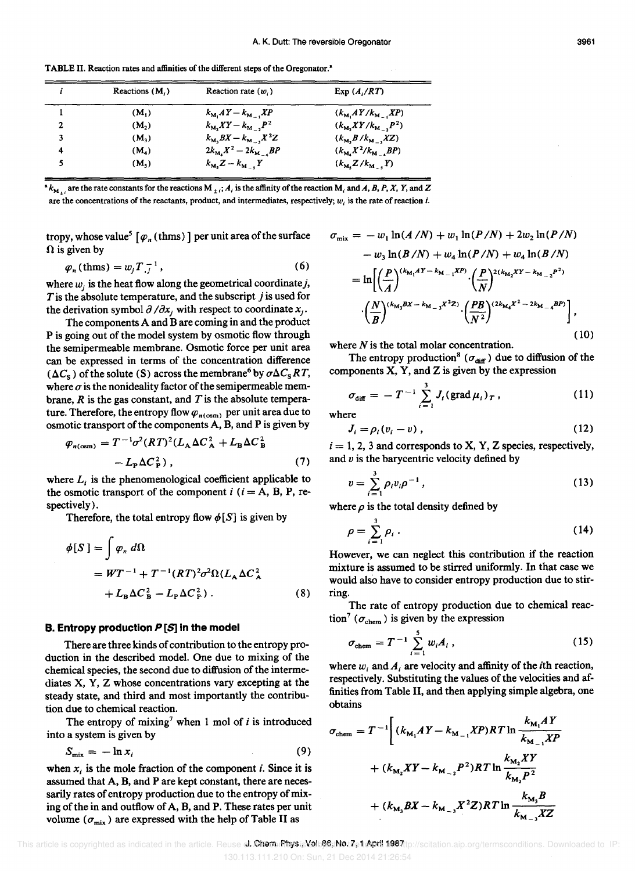i. Reactions  $(M_i)$  Reaction rate  $(w_i)$  Exp  $(A_i/RT)$ (M<sub>1</sub>)  $k_{M_1}AY - k_{M_{-1}}XP$   $(k_{M_1}AY/k_{M_{-1}}XP)$  $\mathbf{1}$ 2  $(M_2)$   $k_{M_2}XY - k_{M_{-2}}P^2$   $(k_{M_1}XY/k_{M_{-2}}P^2)$  $k_{\text{M}_3}BX - k_{\text{M}_{-3}}X^2Z$  (k<sub>M,</sub>B/k<sub>M\_3</sub>XZ) 3  $(M_3)$  $2k_{\mathbf{M}_4}X^2 - 2k_{\mathbf{M}_{-4}}BP$  ( $k_{\mathbf{M}_4}X^2/k_{\mathbf{M}_{-4}}BP$ ) 4  $(M_4)$ 5  $(M_5)$   $k_{\text{M}_1}Z-k_{\text{M}_{-1}}Y$   $(k_{\text{M}_1}Z/k_{\text{M}_{-1}}Y)$ 

TABLE II. Reaction rates and affinities of the different steps of the Oregonator.<sup>a</sup>

 $^*k_{M_{+i}}$  are the rate constants for the reactions  $M_{+i}$ ; A<sub>i</sub> is the affinity of the reaction  $M_i$  and A, B, P, X, Y, and Z are the concentrations of the reactants, product, and intermediates, respectively;  $w_i$  is the rate of reaction i.

tropy, whose value<sup>5</sup> [ $\varphi_n$  (thms)] per unit area of the surface  $\Omega$  is given by

$$
p_n(\text{thms}) = w_i T_{i}^{-1},\tag{6}
$$

where  $w_i$  is the heat flow along the geometrical coordinate j, *T* is the absolute temperature, and the subscript *j* is used for the derivation symbol  $\partial/\partial x_j$  with respect to coordinate  $x_j$ .

The components A and B are coming in and the product P is going out of the model system by osmotic flow through the semipermeable membrane. Osmotic force per unit area can be expressed in terms of the concentration difference  $(\Delta C_{\rm s})$  of the solute (S) across the membrane<sup>6</sup> by  $\sigma \Delta C_{\rm s}RT$ , where  $\sigma$  is the nonideality factor of the semipermeable membrane, *R* is the gas constant, and *T* is the absolute temperature. Therefore, the entropy flow  $\varphi_{n(\text{osm})}$  per unit area due to osmotic transport of the components A, B, and P is given by

$$
\varphi_{n(\text{osm})} = T^{-1} \sigma^2 (RT)^2 (L_A \Delta C_A^2 + L_B \Delta C_B^2)
$$

$$
- L_P \Delta C_P^2), \qquad (7)
$$

where  $L_i$  is the phenomenological coefficient applicable to the osmotic transport of the component  $i$  ( $i = A$ , B, P, respectively).

Therefore, the total entropy flow  $\phi[S]$  is given by

$$
\phi[S] = \int \varphi_n \, d\Omega
$$
  
=  $WT^{-1} + T^{-1} (RT)^2 \sigma^2 \Omega (L_A \Delta C_A^2 + L_B \Delta C_B^2 - L_P \Delta C_P^2)$ . (8)

#### **B. Entropy production**  $P[S]$  **in the model**

There are three kinds of contribution to the entropy production in the described model. One due to mixing of the chemical species, the second due to diffusion of the intermediates X, Y, Z whose concentrations vary excepting at the steady state, and third and most importantly the contribution due to chemical reaction.

The entropy of mixing<sup>7</sup> when 1 mol of  $i$  is introduced into a system is given by

$$
S_{\text{mix}} = -\ln x_i \tag{9}
$$

when  $x_i$  is the mole fraction of the component *i*. Since it is assumed that A, B, and P are kept constant, there are necessarily rates of entropy production due to the entropy of mixing of the in and outflow of A, B, and P. These rates per unit volume ( $\sigma_{\text{mix}}$ ) are expressed with the help of Table II as

$$
\sigma_{\text{mix}} = -w_1 \ln(A/N) + w_1 \ln(P/N) + 2w_2 \ln(P/N)
$$
  
\n
$$
-w_3 \ln(B/N) + w_4 \ln(P/N) + w_4 \ln(B/N)
$$
  
\n
$$
= \ln\left[\left(\frac{P}{A}\right)^{(k_{M_1}AY - k_{M_{-1}}XP)} \cdot \left(\frac{P}{N}\right)^{2(k_{M_2}XY - k_{M_{-2}}P^2)}
$$
  
\n
$$
\cdot \left(\frac{N}{B}\right)^{(k_{M_3}BX - k_{M_{-3}}X^2Z)} \cdot \left(\frac{PB}{N^2}\right)^{(2k_{M_4}X^2 - 2k_{M_{-4}}BP)}\right],
$$
  
\n(10)

where  $N$  is the total molar concentration.

The entropy production<sup>8</sup> ( $\sigma_{\text{diff}}$ ) due to diffusion of the components  $X$ ,  $Y$ , and  $Z$  is given by the expression

$$
\sigma_{\text{diff}} = -T^{-1} \sum_{i=1}^{3} J_i (\text{grad } \mu_i)_T , \qquad (11)
$$

where

$$
J_i = \rho_i (v_i - v) , \qquad (12)
$$

 $i = 1, 2, 3$  and corresponds to X, Y, Z species, respectively, and  $v$  is the barycentric velocity defined by

$$
v = \sum_{i=1}^{3} \rho_i v_i \rho^{-1}, \qquad (13)
$$

where  $\rho$  is the total density defined by

$$
\rho = \sum_{i=1}^{3} \rho_i \,. \tag{14}
$$

However, we can neglect this contribution if the reaction mixture is assumed to be stirred uniformly. In that case we would also have to consider entropy production due to stirring.

The rate of entropy production due to chemical reaction<sup>7</sup> ( $\sigma_{\text{chem}}$ ) is given by the expression

$$
\sigma_{\text{chem}} = T^{-1} \sum_{i=1}^{5} w_i A_i , \qquad (15)
$$

where  $w_i$  and  $A_i$  are velocity and affinity of the *i*th reaction, respectively. Substituting the values of the velocities and affinities from Table II, and then applying simple algebra, one obtains

$$
\sigma_{\text{chem}} = T^{-1} \Bigg[ (k_{\text{M}_1} A Y - k_{\text{M}_{-1}} X P) R T \ln \frac{k_{\text{M}_1} A Y}{k_{\text{M}_{-1}} X P} + (k_{\text{M}_2} X Y - k_{\text{M}_{-2}} P^2) R T \ln \frac{k_{\text{M}_2} X Y}{k_{\text{M}_2} P^2} + (k_{\text{M}_3} B X - k_{\text{M}_{-3}} X^2 Z) R T \ln \frac{k_{\text{M}_3} B}{k_{\text{M}_{-3}} X Z} \Bigg]
$$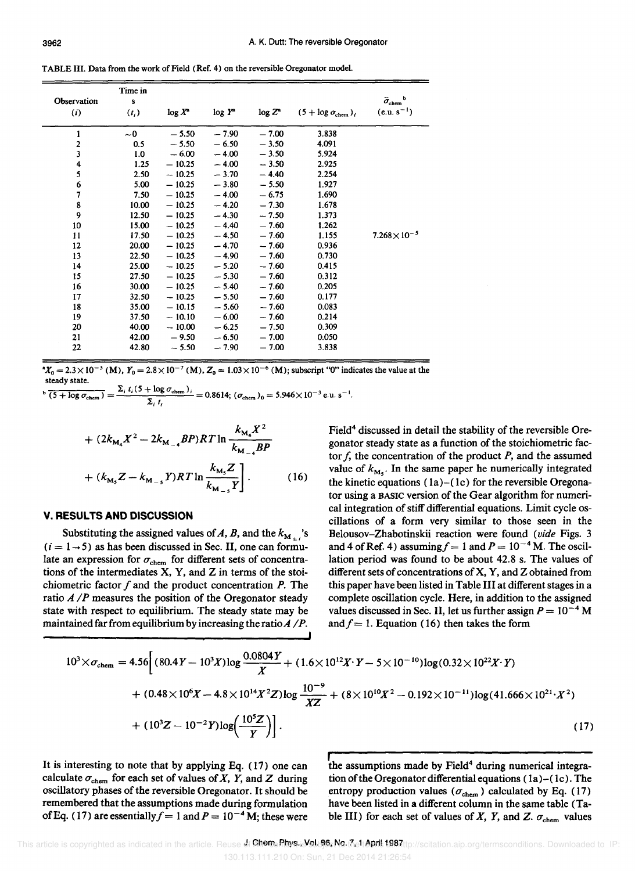TABLE III. Data from the work of Field (Ref. 4) on the reversible Oregonator model.

| Observation<br>(i)      | Time in<br>s<br>$(t_i)$ | $log X^a$ | $log Y^*$ | $\log Z^*$ | $(5 + \log \sigma_{\text{chem}})_i$ | $\bar{\sigma}_{\rm chem}^{\quad b}$<br>$(e.u. s^{-1})$ |
|-------------------------|-------------------------|-----------|-----------|------------|-------------------------------------|--------------------------------------------------------|
| 1                       | $\sim 0$                | $-5.50$   | $-7.90$   | $-7.00$    | 3.838                               |                                                        |
| $\overline{\mathbf{c}}$ | 0.5                     | $-5.50$   | $-6.50$   | $-3.50$    | 4.091                               |                                                        |
| 3                       | 1.0                     | $-6.00$   | $-4.00$   | $-3.50$    | 5.924                               |                                                        |
| 4                       | 1.25                    | $-10.25$  | $-4.00$   | $-3.50$    | 2.925                               |                                                        |
| 5                       | 2.50                    | $-10.25$  | $-3.70$   | $-4.40$    | 2.254                               |                                                        |
| 6                       | 5.00                    | $-10.25$  | $-3.80$   | $-5.50$    | 1.927                               |                                                        |
| 7                       | 7.50                    | $-10.25$  | $-4.00$   | $-6.75$    | 1.690                               |                                                        |
| 8                       | 10.00                   | $-10.25$  | $-4.20$   | $-7.30$    | 1.678                               |                                                        |
| 9                       | 12.50                   | $-10.25$  | $-4.30$   | $-7.50$    | 1.373                               |                                                        |
| 10                      | 15.00                   | $-10.25$  | $-4.40$   | $-7.60$    | 1.262                               |                                                        |
| 11                      | 17.50                   | $-10.25$  | $-4.50$   | $-7.60$    | 1.155                               | $7.268\times10^{-5}$                                   |
| 12                      | 20.00                   | $-10.25$  | $-4.70$   | $-7.60$    | 0.936                               |                                                        |
| 13                      | 22.50                   | $-10.25$  | $-4.90$   | $-7.60$    | 0.730                               |                                                        |
| 14                      | 25.00                   | $-10.25$  | $-5.20$   | $-7.60$    | 0.415                               |                                                        |
| 15                      | 27.50                   | $-10.25$  | $-5.30$   | $-7.60$    | 0.312                               |                                                        |
| 16                      | 30.00                   | $-10.25$  | $-5.40$   | $-7.60$    | 0.205                               |                                                        |
| 17                      | 32.50                   | $-10.25$  | $-5.50$   | $-7.60$    | 0.177                               |                                                        |
| 18                      | 35.00                   | $-10.15$  | $-5.60$   | $-7.60$    | 0.083                               |                                                        |
| 19                      | 37.50                   | $-10.10$  | $-6.00$   | $-7.60$    | 0.214                               |                                                        |
| 20                      | 40.00                   | $-10.00$  | $-6.25$   | $-7.50$    | 0.309                               |                                                        |
| 21                      | 42.00                   | $-9.50$   | $-6.50$   | $-7.00$    | 0.050                               |                                                        |
| 22                      | 42.80                   | $-5.50$   | $-7.90$   | $-7.00$    | 3.838                               |                                                        |

 $X_0 = 2.3 \times 10^{-3}$  (M),  $Y_0 = 2.8 \times 10^{-7}$  (M),  $Z_0 = 1.03 \times 10^{-6}$  (M); subscript "0" indicates the value at the

steady state.<br>  $\frac{b}{(5 + \log \sigma_{\text{chem}})} = \frac{\sum_i t_i (5 + \log \sigma_{\text{chem}})_i}{\sum_i t_i} = 0.8614; (\sigma_{\text{chem}})_0 = 5.946 \times 10^{-3} \text{ e.u. s}^{-1}.$ 

+ 
$$
(2k_{M_4}X^2 - 2k_{M_{-4}}BP)RT \ln \frac{k_{M_4}X^2}{k_{M_{-4}}BP}
$$
  
+  $(k_{M_5}Z - k_{M_{-5}}Y)RT \ln \frac{k_{M_5}Z}{k_{M_{-5}}Y}$ . (16)

#### **v. RESULTS AND DISCUSSION**

Substituting the assigned values of A, B, and the  $k_{M_{\perp}}$ 's  $(i = 1 \rightarrow 5)$  as has been discussed in Sec. II, one can formulate an expression for  $\sigma_{chem}$  for different sets of concentrations of the intermediates X, Y, and Z in terms of the stoichiometric factor  $f$  and the product concentration  $P$ . The ratio  $A/P$  measures the position of the Oregonator steady state with respect to equilibrium. The steady state may be maintained far from equilibrium by increasing the ratio  $A / P$ . Field<sup>4</sup> discussed in detail the stability of the reversible Oregonator steady state as a function of the stoichiometric factor  $f$ , the concentration of the product  $P$ , and the assumed value of  $k_{\text{M}_s}$ . In the same paper he numerically integrated the kinetic equations  $(1a)-(1c)$  for the reversible Oregonator using a BASIC version of the Gear algorithm for numerical integration of stiff differential equations. Limit cycle oscillations of a form very similar to those seen in the Belousov-Zhabotinskii reaction were found *(vide* Figs. 3 and 4 of Ref. 4) assuming  $f = 1$  and  $P = 10^{-4}$  M. The oscillation period was found to be about 42.S s. The values of different sets of concentrations of X, Y, and Z obtained from this paper have been listed in Table **III** at different stages in a complete oscillation cycle. Here, in addition to the assigned values discussed in Sec. II, let us further assign  $P = 10^{-4}$  M and  $f = 1$ . Equation (16) then takes the form

$$
10^{3} \times \sigma_{\text{chem}} = 4.56 \left[ (80.4Y - 10^{3}X) \log \frac{0.0804Y}{X} + (1.6 \times 10^{12}X \cdot Y - 5 \times 10^{-10}) \log(0.32 \times 10^{22}X \cdot Y) + (0.48 \times 10^{6}X - 4.8 \times 10^{14}X^{2}Z) \log \frac{10^{-9}}{XZ} + (8 \times 10^{10}X^{2} - 0.192 \times 10^{-11}) \log(41.666 \times 10^{21} \cdot X^{2}) + (10^{3}Z - 10^{-2}Y) \log \left( \frac{10^{5}Z}{Y} \right) \right].
$$
\n(17)

**I** 

It is interesting to note that by applying Eq. (17) one can calculate  $\sigma_{\text{chem}}$  for each set of values of X, Y, and Z during oscillatory phases of the reversible Oregonator. It should be remembered that the assumptions made during formulation of Eq. (17) are essentially  $f = 1$  and  $P = 10^{-4}$  M; these were The assumptions made by Field<sup>4</sup> during numerical integration of the Oregonator differential equations  $(1a) - (1c)$ . The entropy production values ( $\sigma_{\text{chem}}$ ) calculated by Eq. (17) have been listed in a different column in the same table (Table III) for each set of values of X, Y, and Z.  $\sigma_{chem}$  values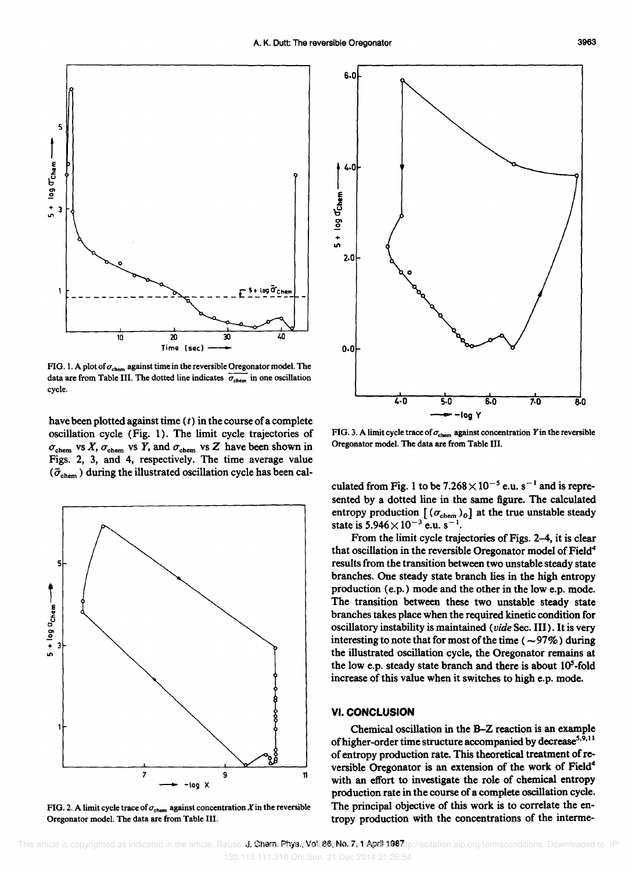

FIG. 1. A plot of  $\sigma_{\rm chem}$  against time in the reversible Oregonator model. The data are from Table III. The dotted line indicates  $\overline{\sigma_{chem}}$  in one oscillation cycle.

have been plotted against time  $(t)$  in the course of a complete oscillation cycle (Fig. 1). The limit cycle trajectories of  $\sigma_{\text{chem}}$  vs X,  $\sigma_{\text{chem}}$  vs Y, and  $\sigma_{\text{chem}}$  vs Z have been shown in Figs. 2, 3, and 4, respectively. The time average value  $(\bar{\sigma}_{chem})$  during the illustrated oscillation cycle has been cal-



FIG. 2. A limit cycle trace of  $\sigma_{\text{chem}}$  against concentration X in the reversible Oregonator model. The data are from Table III.



FIG. 3. A limit cycle trace of  $\sigma_{\text{chem}}$  against concentration Y in the reversible Oregonator model. The data are from Table III.

culated from Fig. 1 to be  $7.268 \times 10^{-5}$  e.u. s<sup>-1</sup> and is represented by a dotted line in the same figure. The calculated entropy production  $[(\sigma_{chem})_0]$  at the true unstable steady state is  $5.946 \times 10^{-3}$  e.u. s<sup>-1</sup>.

From the limit cycle trajectories of Figs. 2-4, it is clear that oscillation in the reversible Oregonator model of Field<sup>4</sup> results from the transition between two unstable steady state branches. One steady state branch lies in the high entropy production (e.p.) mode and the other in the low e.p. mode. The transition between these two unstable steady state branches takes place when the required kinetic condition for oscillatory instability is maintained *(vide* Sec. **III).** It is very interesting to note that for most of the time ( $\sim$ 97%) during the illustrated oscillation cycle, the Oregonator remains at the low e.p. steady state branch and there is about  $10<sup>5</sup>$ -fold increase of this value when it switches to high e.p. mode.

#### **VI. CONCLUSION**

Chemical oscillation in the B-Z reaction is an example of higher-order time structure accompanied by decrease<sup>5,9,11</sup> of entropy production rate. This theoretical treatment of reversible Oregonator is an extension of the work of Field<sup>4</sup> with an effort to investigate the role of chemical entropy production rate in the course of a complete oscillation cycle. The principal objective of this work is to correlate the entropy production with the concentrations of the interme-